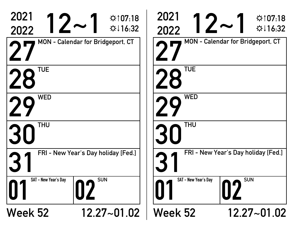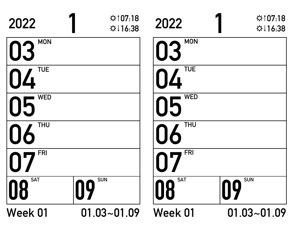| 2022             | ☆107:18<br>☆↓16:38 | 2022                    | $\hat{\varphi}$ 107:18<br>$\uparrow$ 116:38 |
|------------------|--------------------|-------------------------|---------------------------------------------|
| <b>MON</b><br>03 |                    | <b>MON</b><br>03        |                                             |
| <b>TUE</b>       |                    | <b>TUE</b><br><u> /</u> |                                             |
| <b>WED</b><br>05 |                    | <b>WED</b><br>05        |                                             |
| <b>THU</b><br>O  |                    | <b>THU</b>              |                                             |
| <b>FRI</b>       |                    | <b>FRI</b>              |                                             |
| <b>SAT</b><br>08 | <b>SUN</b><br>09   | <b>SAT</b><br>08        | <b>SUN</b><br>09                            |
| <b>Week 01</b>   | $01.03 - 01.09$    | <b>Week 01</b>          | $01.03 - 01.09$                             |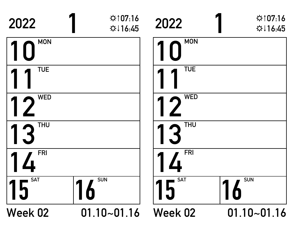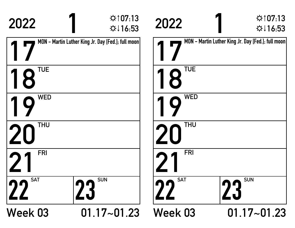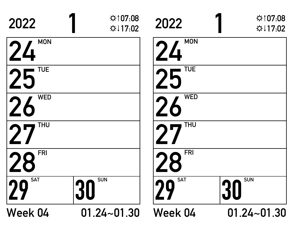| 2022                    | ☆107:08<br>☆↓17:02 | 2022             | $\uparrow$ 107:08<br>$\Leftrightarrow$ 17:02 |
|-------------------------|--------------------|------------------|----------------------------------------------|
| <b>MON</b><br>24        |                    | <b>MON</b><br>24 |                                              |
| <b>TUE</b><br>25        |                    | <b>TUE</b>       |                                              |
| <b>WED</b><br><b>26</b> |                    | <b>WED</b>       |                                              |
| THU                     |                    | <b>THU</b>       |                                              |
| <b>FRI</b>              |                    | <b>FRI</b>       |                                              |
| <b>SAT</b><br>29        | <b>SUN</b><br>30   | <b>SAT</b>       | <b>SUN</b><br>30                             |
| Week 04                 | $01.24 - 01.30$    | Week 04          | $01.24 - 01.30$                              |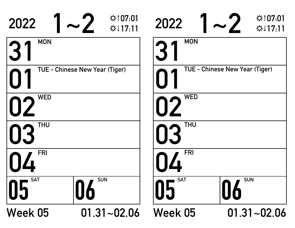| 2022             | $\hat{\varphi}$ 107:01<br>☆↓17:11     | 2022             | ☆107:01<br>$\Leftrightarrow$ 117.11 |
|------------------|---------------------------------------|------------------|-------------------------------------|
| <b>MON</b>       |                                       | <b>MON</b>       |                                     |
|                  | <b>TUE - Chinese New Year (Tiger)</b> |                  | TUE - Chinese New Year (Tiger)      |
| <b>WED</b>       |                                       | <b>WED</b>       |                                     |
| <b>THU</b>       |                                       | <b>THU</b>       |                                     |
| <b>FRI</b>       |                                       | <b>FRI</b>       |                                     |
| <b>SAT</b><br>05 | <b>SUN</b><br>06                      | <b>SAT</b><br>10 | <b>SUN</b><br><b>O6</b>             |
| Week 05          | $01.31 - 02.06$                       | Week 05          | $01.31 - 02.06$                     |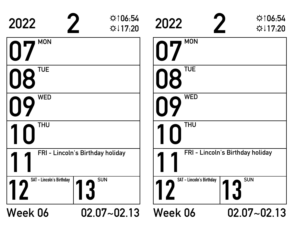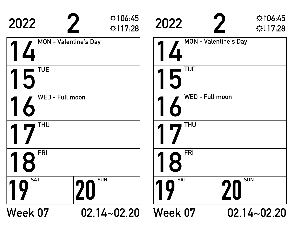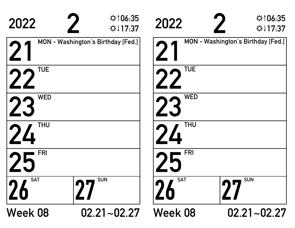| 2022             | $\uparrow$ 106:35<br>☆↓17:37       | 2022                    | $\uparrow$ 106:35<br>$\uparrow$ 17.37 |
|------------------|------------------------------------|-------------------------|---------------------------------------|
|                  | MON - Washington's Birthday [Fed.] |                         | MON - Washington's Birthday [Fed.]    |
| <b>TUE</b>       |                                    | <b>TUE</b>              |                                       |
| <b>WED</b><br>23 |                                    | <b>WED</b>              |                                       |
| <b>THU</b>       |                                    | <b>THU</b>              |                                       |
| <b>FRI</b>       |                                    | <b>FRI</b>              |                                       |
| <b>SAT</b><br>26 | <b>SUN</b><br>ŋΠ                   | <b>SAT</b><br><b>ZO</b> | <b>SUN</b>                            |
| <b>Week 08</b>   | $02.21 - 02.27$                    | <b>Week 08</b>          | $02.21 - 02.27$                       |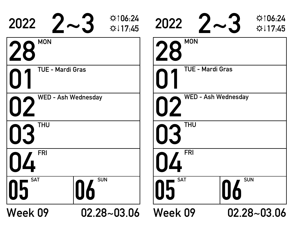| 2022                    | $\uparrow$ 106:24<br>$2\!\sim\!3$<br>$\uparrow$ 17:45 | 2022                       | ☆106:24<br>$2 \sim 3$<br>$\Leftrightarrow$ 17:45 |  |
|-------------------------|-------------------------------------------------------|----------------------------|--------------------------------------------------|--|
| <b>MON</b><br>28        |                                                       | <b>MON</b><br>28           |                                                  |  |
| <b>TUE - Mardi Gras</b> |                                                       | <b>TUE - Mardi Gras</b>    |                                                  |  |
| WED - Ash Wednesday     |                                                       | <b>WED - Ash Wednesday</b> |                                                  |  |
| <b>THU</b><br>03        |                                                       | <b>THU</b><br>03           |                                                  |  |
| <b>FRI</b>              |                                                       | <b>FRI</b>                 |                                                  |  |
| <b>SAT</b><br>05        | <b>SUN</b><br>U6                                      | <b>SAT</b><br><b>U5</b>    | <b>SUN</b><br>0                                  |  |
| Week 09                 | $02.28 - 03.06$                                       | Week 09                    | $02.28 - 03.06$                                  |  |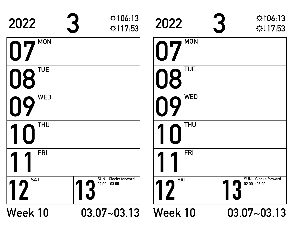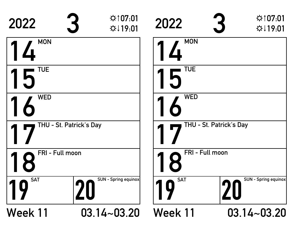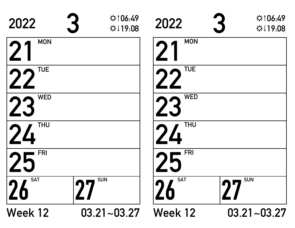| 2022                                  | ☆106:49<br>☆↓19:08 | 2022       | ☆106:49<br>☆↓19:08      |
|---------------------------------------|--------------------|------------|-------------------------|
| <b>MON</b>                            |                    | <b>MON</b> |                         |
| <b>TUE</b>                            |                    | <b>TUE</b> |                         |
| <b>WED</b><br>23                      |                    | <b>WED</b> |                         |
| <b>THU</b><br>$\overline{\mathbf{A}}$ |                    | <b>THU</b> |                         |
| <b>FRI</b>                            |                    | <b>FRI</b> |                         |
| <b>SAT</b><br>26                      | <b>SUN</b>         | <b>SAT</b> | <b>SUN</b><br>$\bullet$ |
| <b>Week 12</b>                        | $03.21 - 03.27$    | Week 12    | $03.21 - 03.27$         |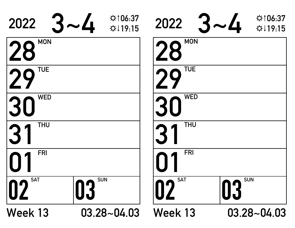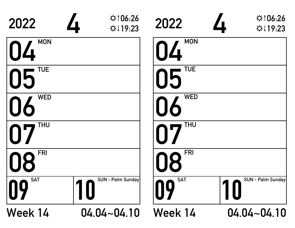| 2022                    | ☆106:26<br>$\overline{\phantom{a}}$<br>☆↓19:23 | 2022             | ☆106:26<br>☆↓19:23 |
|-------------------------|------------------------------------------------|------------------|--------------------|
| <b>MON</b><br>04        |                                                | <b>MON</b><br>04 |                    |
| <b>TUE</b><br>05        |                                                | <b>TUE</b><br>05 |                    |
| <b>WED</b><br>06        |                                                | <b>WED</b>       |                    |
| THU<br>07               |                                                | <b>THU</b>       |                    |
| <b>FRI</b><br><b>N8</b> |                                                | <b>FRI</b><br>8  |                    |
| <b>SAT</b><br>09        | SUN - Palm Sunday                              | <b>SAT</b><br>09 | SUN - Palm Sunday  |
| Week 14                 | $04.04 - 04.10$                                | Week 14          | $04.04 - 04.10$    |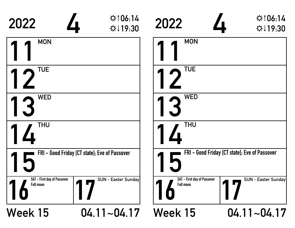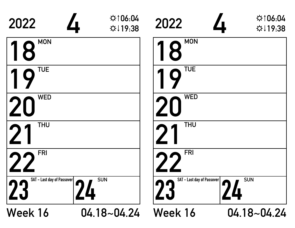| 2022                             | $\uparrow$ 106:04<br>$\overline{\phantom{a}}$<br>☆↓19:38 | 2022                                           | $\uparrow$ 106:04<br>☆↓19:38 |
|----------------------------------|----------------------------------------------------------|------------------------------------------------|------------------------------|
| <b>MON</b><br>0                  |                                                          | <b>MON</b><br>8                                |                              |
| <b>TUE</b><br>$\blacklozenge$    |                                                          | <b>TUE</b>                                     |                              |
| <b>WED</b>                       |                                                          | <b>WED</b>                                     |                              |
| <b>THU</b>                       |                                                          | <b>THU</b>                                     |                              |
| <b>FRI</b>                       |                                                          | <b>FRI</b>                                     |                              |
| SAT - Last day of Passover<br>23 | <b>SUN</b><br>$\blacksquare$<br>4                        | <b>SAT</b> - Last day of Passover<br><b>Z3</b> | <b>SUN</b><br><u>Д</u>       |
| Week 16                          | $04.18 - 04.24$                                          | Week 16                                        | $04.18 - 04.24$              |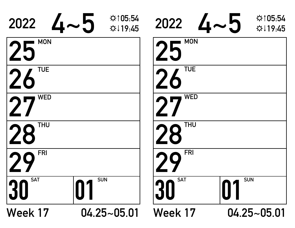| 2022              | $\uparrow$ 105:54<br>$4\mathtt{\sim}5$<br>$\uplus \downarrow$ 19:45 | 2022             | $\uparrow$ 105.54<br>$4\mathtt{\sim}5$<br>$\uparrow$ 19:45 |
|-------------------|---------------------------------------------------------------------|------------------|------------------------------------------------------------|
| <b>MON</b><br>ノト  |                                                                     | <b>MON</b><br>25 |                                                            |
| <b>TUE</b>        |                                                                     | <b>TUE</b>       |                                                            |
| <b>WED</b>        |                                                                     | WED              |                                                            |
| <b>THU</b><br>28  |                                                                     | <b>THU</b><br>28 |                                                            |
| <b>FRI</b>        |                                                                     | <b>FRI</b>       |                                                            |
| <b>SAT</b><br> 30 | <b>SUN</b>                                                          | <b>SAT</b>       | <b>SUN</b>                                                 |
| Week 17           | $04.25 - 05.01$                                                     | Week 17          | $04.25 - 05.01$                                            |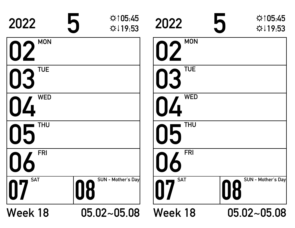| 2022                         | $\uparrow$ 105:45<br>5<br>☆↓19:53 | 2022              | $\uparrow$ 105:45<br>☆↓19:53    |
|------------------------------|-----------------------------------|-------------------|---------------------------------|
| <b>MON</b><br>02             |                                   | <b>MON</b><br>I L |                                 |
| <b>TUE</b><br>0 <sup>3</sup> |                                   | <b>TUE</b>        |                                 |
| <b>WED</b>                   |                                   | <b>WED</b>        |                                 |
| <b>THU</b><br>05             |                                   | <b>THU</b>        |                                 |
| <b>FRI</b>                   |                                   | <b>FRI</b>        |                                 |
| <b>SAT</b>                   | SUN - Mother's Day<br>08          | <b>SAT</b>        | <b>SUN</b> - Mother's Day<br>08 |
| Week 18                      | $05.02 - 05.08$                   | Week 18           | $05.02 - 05.08$                 |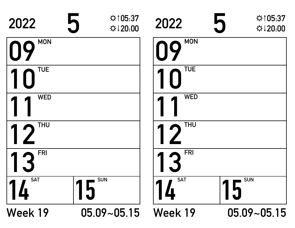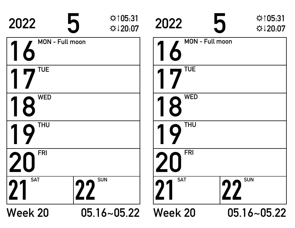| 2022                   | $\hat{F}$ ↑ 05:31<br>5<br>☆↓20:07 | 2022            | $\uparrow$ 105.31<br>☆↓20:07 |
|------------------------|-----------------------------------|-----------------|------------------------------|
| <b>MON - Full moon</b> |                                   | MON - Full moon |                              |
| TUE                    |                                   | <b>TUE</b>      |                              |
| <b>WED</b><br>8        |                                   | <b>WED</b><br>8 |                              |
| <b>THU</b>             |                                   | <b>THU</b>      |                              |
| <b>FRI</b>             |                                   | <b>FRI</b>      |                              |
| <b>SAT</b><br> 71      | <b>SUN</b><br>22                  | <b>SAT</b>      | <b>SUN</b><br>nn             |
| <b>Week 20</b>         | $05.16 - 05.22$                   | <b>Week 20</b>  | $05.16 - 05.22$              |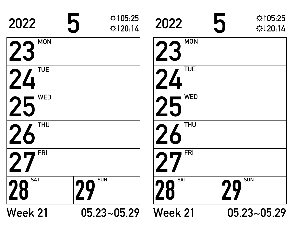| 2022                         | ☆105:25<br>5<br>$\uparrow$ 120.14 | 2022                         | $\hat{Q}$ ↑05:25<br>$\uparrow$ 120.14 |
|------------------------------|-----------------------------------|------------------------------|---------------------------------------|
| <b>MON</b><br>$\sum$         |                                   | <b>MON</b>                   |                                       |
| <b>TUE</b><br>24             |                                   | <b>TUE</b><br>$\overline{4}$ |                                       |
| <b>WED</b>                   |                                   | <b>WED</b>                   |                                       |
| <b>THU</b><br>$\blacksquare$ |                                   | <b>THU</b>                   |                                       |
| <b>FRI</b>                   |                                   | <b>FRI</b>                   |                                       |
| <b>SAT</b><br>28             | <b>SUN</b><br>$\overline{q}$      | <b>SAT</b><br>28             | <b>SUN</b><br>29                      |
| <b>Week 21</b>               | $05.23 - 05.29$                   | <b>Week 21</b>               | $05.23 - 05.29$                       |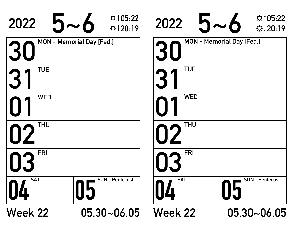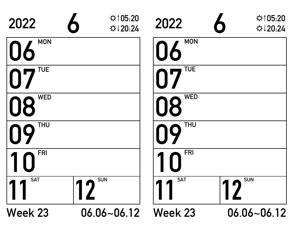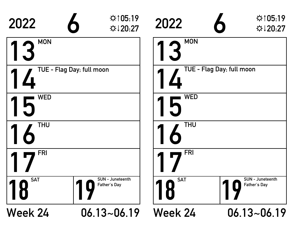| 2022                      | ☆105:19<br>$\bullet$<br>☆↓20:27         | 2022                      | ☆105.19<br>☆↓20:27                      |
|---------------------------|-----------------------------------------|---------------------------|-----------------------------------------|
| <b>MON</b>                |                                         | <b>MON</b>                |                                         |
| TUE - Flag Day; full moon |                                         | TUE - Flag Day; full moon |                                         |
| <b>WED</b>                |                                         | <b>WED</b>                |                                         |
| <b>THU</b>                |                                         | <b>THU</b>                |                                         |
| <b>FRI</b>                |                                         | <b>FRI</b>                |                                         |
| <b>SAT</b><br>8           | <b>SUN</b> - Juneteenth<br>Father's Day | <b>SAT</b><br>8           | <b>SUN</b> - Juneteenth<br>Father's Day |
| <b>Week 24</b>            | $06.13 - 06.19$                         | <b>Week 24</b>            | $06.13 - 06.19$                         |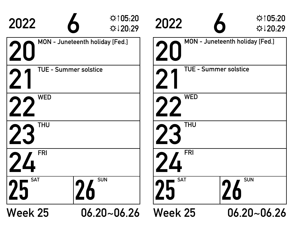| 2022                         | $\uparrow$ 105:20<br>☆↓20:29    | 2022                         | $\uparrow$ 105:20<br>☆↓20:29    |
|------------------------------|---------------------------------|------------------------------|---------------------------------|
|                              | MON - Juneteenth holiday [Fed.] |                              | MON - Juneteenth holiday [Fed.] |
| <b>TUE - Summer solstice</b> |                                 | <b>TUE - Summer solstice</b> |                                 |
| <b>WED</b>                   |                                 | <b>WED</b>                   |                                 |
| <b>THU</b>                   |                                 | <b>THU</b>                   |                                 |
| <b>FRI</b>                   |                                 | <b>FRI</b>                   |                                 |
| <b>SAT</b><br>25             | <b>SUN</b><br>70                | <b>SAT</b>                   | <b>SUN</b><br>Ö                 |
| <b>Week 25</b>               | $06.20 - 06.26$                 | <b>Week 25</b>               | $06.20 - 06.26$                 |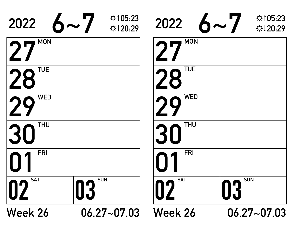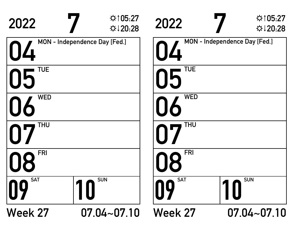| 2022             | ☆105:27<br>☆↓20:28            | 2022             | ☆105:27<br>☆↓20:28            |
|------------------|-------------------------------|------------------|-------------------------------|
|                  | MON - Independence Day [Fed.] | $\prod$          | MON - Independence Day [Fed.] |
| <b>TUE</b><br>05 |                               | <b>TUE</b><br>05 |                               |
| <b>WED</b>       |                               | <b>WED</b>       |                               |
| THU              |                               | <b>THU</b>       |                               |
| <b>FRI</b>       |                               | <b>FRI</b><br>R  |                               |
| <b>SAT</b><br>10 | <b>SUN</b>                    | <b>SAT</b><br>09 | <b>SUN</b>                    |
| <b>Week 27</b>   | $07.04 - 07.10$               | <b>Week 27</b>   | $07.04 - 07.10$               |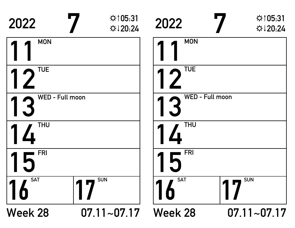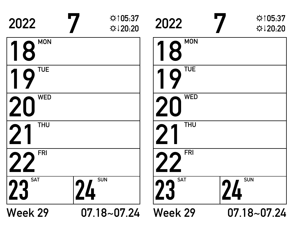| 2022                    | $\uparrow$ 105:37<br>☆↓20:20 | 2022             | ☆105:37<br>☆↓20:20 |
|-------------------------|------------------------------|------------------|--------------------|
| <b>MON</b><br>8         |                              | <b>MON</b><br>18 |                    |
| <b>TUE</b><br>$\bigcap$ |                              | <b>TUE</b>       |                    |
| <b>WED</b>              |                              | <b>WED</b>       |                    |
| <b>THU</b>              |                              | <b>THU</b>       |                    |
| <b>FRI</b>              |                              | <b>FRI</b>       |                    |
| <b>SAT</b><br>23        | <b>SUN</b><br><b>Z4</b>      | <b>SAT</b><br>23 | <b>SUN</b><br>4    |
| <b>Week 29</b>          | $07.18 - 07.24$              | <b>Week 29</b>   | $07.18 - 07.24$    |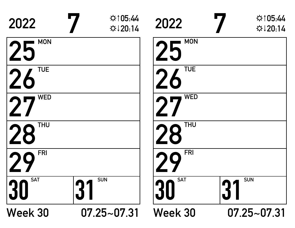| 2022                     | $\uparrow$ 105:44<br>$\Leftrightarrow$ 120:14 | 2022             | $\uparrow$ 105:44<br>$\uparrow$ 120.14 |
|--------------------------|-----------------------------------------------|------------------|----------------------------------------|
| <b>MON</b><br>$\sqrt{2}$ |                                               | <b>MON</b><br>25 |                                        |
| <b>TUE</b><br>26         |                                               | <b>TUE</b>       |                                        |
| <b>WED</b>               |                                               | <b>WED</b>       |                                        |
| <b>THU</b><br>28         |                                               | <b>THU</b>       |                                        |
| <b>FRI</b>               |                                               | FRI              |                                        |
| <b>SAT</b><br>30         | <b>SUN</b>                                    | <b>SAT</b>       | <b>SUN</b><br>3 <sup>7</sup>           |
| Week 30                  | $07.25 - 07.31$                               | <b>Week 30</b>   | $07.25 - 07.31$                        |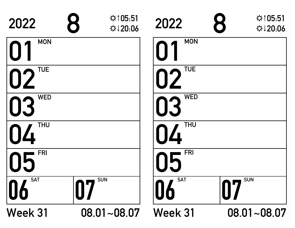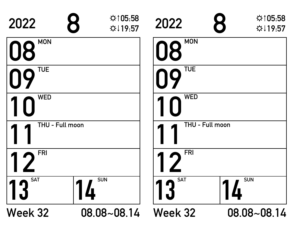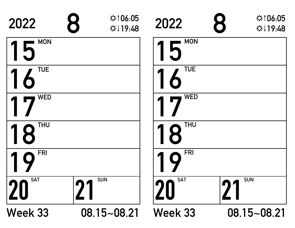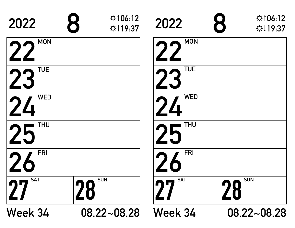| 2022                    | ☆106:12<br>8<br>☆↓19:37 | 2022       | $\uparrow$ 106:12<br>☆↓19:37 |
|-------------------------|-------------------------|------------|------------------------------|
| <b>MON</b>              |                         | <b>MON</b> |                              |
| <b>TUE</b><br>2.5       |                         | <b>TUE</b> |                              |
| <b>WED</b>              |                         | <b>WED</b> |                              |
| <b>THU</b><br><b>SE</b> |                         | <b>THU</b> |                              |
| <b>FRI</b>              |                         | <b>FRI</b> |                              |
| <b>SAT</b><br>27        | <b>SUN</b><br>28        | <b>SAT</b> | <b>SUN</b><br>28             |
| Week 34                 | $08.22 - 08.28$         | Week 34    | $08.22 - 08.28$              |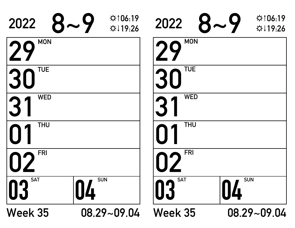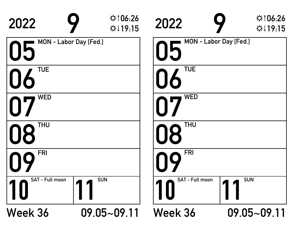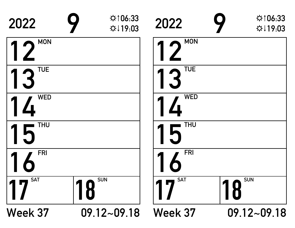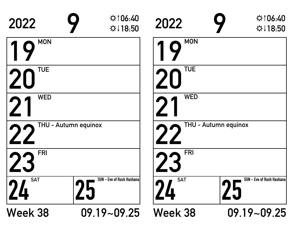| 2022                         | $\uparrow$ 106:40<br>☆↓18:50                         | 2022            | $\uparrow$ 106:40<br>$\uparrow$ 18:50 |
|------------------------------|------------------------------------------------------|-----------------|---------------------------------------|
| <b>MON</b>                   |                                                      | <b>MON</b>      |                                       |
| <b>TUE</b>                   |                                                      | <b>TUE</b>      |                                       |
| <b>WED</b>                   |                                                      | <b>WED</b>      |                                       |
|                              | THU - Autumn equinox                                 |                 | THU - Autumn equinox                  |
| <b>FRI</b>                   |                                                      | <b>FRI</b>      |                                       |
| <b>SAT</b><br>$\overline{u}$ | <b>SUN</b> - Eve of Rosh Hashana<br>$\sum_{i=1}^{n}$ | <b>SAT</b><br>4 | SUN - Eve of Rosh Hashana             |
| <b>Week 38</b>               | $09.19 - 09.25$                                      | Week 38         | $09.19 - 09.25$                       |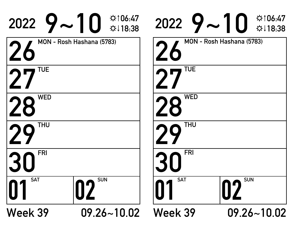|                  | $2022$ $9$ $\sim$ 10 $\frac{4106.47}{18.38}$ |            | $2022$ $9$ $\sim$ 10 $\frac{4106.47}{18.38}$ |
|------------------|----------------------------------------------|------------|----------------------------------------------|
|                  | MON - Rosh Hashana (5783)                    |            | MON - Rosh Hashana (5783)                    |
| TUE              |                                              | <b>TUE</b> |                                              |
| <b>WED</b><br>28 |                                              | <b>WED</b> |                                              |
| THU              |                                              | <b>THU</b> |                                              |
| <b>FRI</b>       |                                              | <b>FRI</b> |                                              |
| <b>SAT</b>       | <b>SUN</b>                                   | <b>SAT</b> | <b>SUN</b>                                   |
| Week 39          | $09.26 - 10.02$                              | Week 39    | $09.26 - 10.02$                              |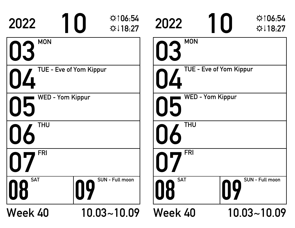| 2022                    | $\uparrow$ 106:54<br>☆↓18:27                             | 2022             | $\uparrow$ 106:54<br>$\uplus$ 18:27 |
|-------------------------|----------------------------------------------------------|------------------|-------------------------------------|
| <b>MON</b><br>03        |                                                          | <b>MON</b><br>03 |                                     |
|                         | TUE - Eve of Yom Kippur<br>TUE - Eve of Yom Kippur<br>04 |                  |                                     |
| <b>WED - Yom Kippur</b> | <b>WED - Yom Kippur</b><br>15                            |                  |                                     |
| <b>THU</b>              |                                                          | <b>THU</b>       |                                     |
| <b>FRI</b>              |                                                          | <b>FRI</b>       |                                     |
| <b>SAT</b>              | SUN - Full moon<br>09                                    | <b>SAT</b><br>08 | SUN - Full moon<br>$\overline{10}$  |
| Week 40                 | $10.03 - 10.09$                                          | Week 40          | $10.03 - 10.09$                     |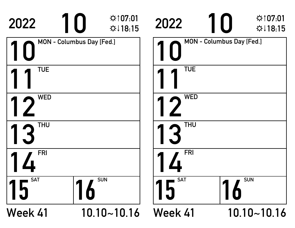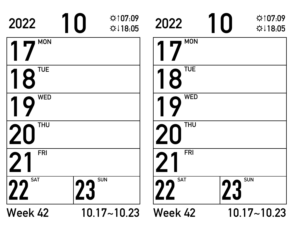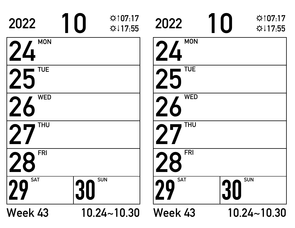| 2022                         | ☆107:17<br>$\Leftrightarrow$ 17:55 | 2022             | ☆107.17<br>$\uparrow$ 17.55 |
|------------------------------|------------------------------------|------------------|-----------------------------|
| <b>MON</b><br>24             |                                    | <b>MON</b><br>24 |                             |
| <b>TUE</b><br>25             |                                    | <b>TUE</b>       |                             |
| <b>WED</b><br>C              |                                    | <b>WED</b>       |                             |
| <b>THU</b>                   |                                    | <b>THU</b>       |                             |
| <b>FRI</b>                   |                                    | <b>FRI</b>       |                             |
| <b>SAT</b><br>$\overline{Q}$ | <b>SUN</b><br>30                   | <b>SAT</b>       | <b>SUN</b><br>30            |
| Week 43                      | $10.24 - 10.30$                    | Week 43          | $10.24 - 10.30$             |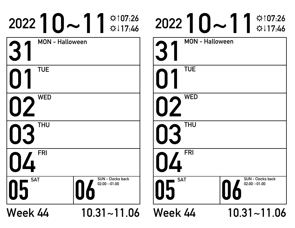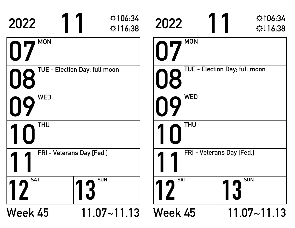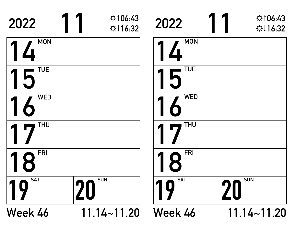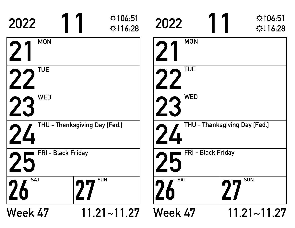| 2022                           | ☆106:51<br>$\uparrow$ 116:28  | 2022           | $\uparrow$ 106:51<br>$\uparrow$ 116:28 |
|--------------------------------|-------------------------------|----------------|----------------------------------------|
| <b>MON</b>                     |                               | <b>MON</b>     |                                        |
| <b>TUE</b>                     |                               | <b>TUE</b>     |                                        |
| <b>WED</b>                     |                               | <b>WED</b>     |                                        |
|                                | THU - Thanksgiving Day [Fed.] |                | THU - Thanksgiving Day [Fed.]          |
| FRI - Black Friday             |                               |                | FRI - Black Friday                     |
| <b>SAT</b><br>$\boldsymbol{2}$ | <b>SUN</b><br>nn              | <b>SAT</b>     | <b>SUN</b><br>nП                       |
| Week 47                        | $11.21 - 11.27$               | <b>Week 47</b> | $11.21 - 11.27$                        |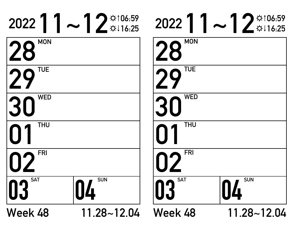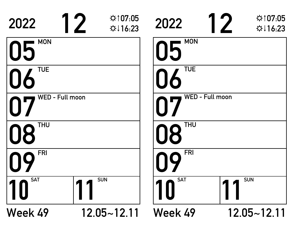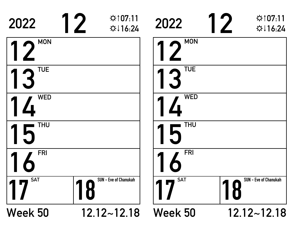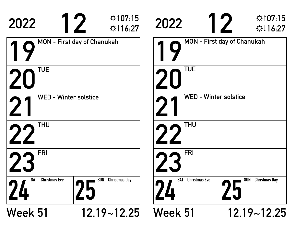| 2022                            | $\uparrow$ 107.15<br>$\uparrow$ 16:27 | 2022                            | $\hat{\varphi}$ 107:15<br>☆↓16:27  |
|---------------------------------|---------------------------------------|---------------------------------|------------------------------------|
|                                 | <b>MON - First day of Chanukah</b>    |                                 | <b>MON</b> - First day of Chanukah |
| <b>TUE</b>                      |                                       | <b>TUE</b>                      |                                    |
| <b>WED - Winter solstice</b>    |                                       |                                 | <b>WED - Winter solstice</b>       |
| <b>THU</b>                      |                                       | <b>THU</b>                      |                                    |
| <b>FRI</b>                      |                                       | <b>FRI</b>                      |                                    |
| <b>SAT - Christmas Eve</b><br>4 | <b>SUN - Christmas Day</b>            | <b>SAT - Christmas Eve</b><br>4 | <b>SUN - Christmas Day</b>         |
| Week 51                         | $12.19 - 12.25$                       | <b>Week 51</b>                  | $12.19 - 12.25$                    |